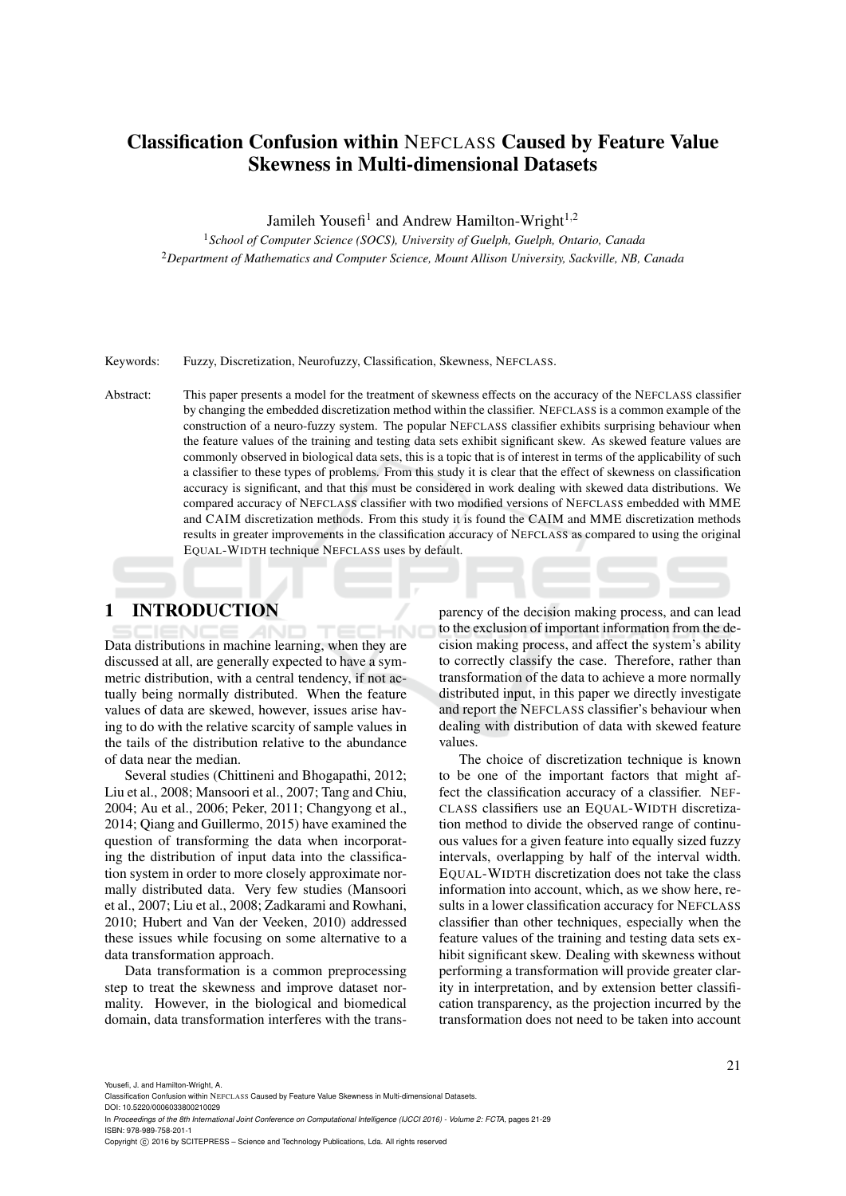# Classification Confusion within NEFCLASS Caused by Feature Value Skewness in Multi-dimensional Datasets

Jamileh Yousefi<sup>1</sup> and Andrew Hamilton-Wright<sup>1,2</sup>

<sup>1</sup>*School of Computer Science (SOCS), University of Guelph, Guelph, Ontario, Canada* <sup>2</sup>*Department of Mathematics and Computer Science, Mount Allison University, Sackville, NB, Canada*

Keywords: Fuzzy, Discretization, Neurofuzzy, Classification, Skewness, NEFCLASS.

Abstract: This paper presents a model for the treatment of skewness effects on the accuracy of the NEFCLASS classifier by changing the embedded discretization method within the classifier. NEFCLASS is a common example of the construction of a neuro-fuzzy system. The popular NEFCLASS classifier exhibits surprising behaviour when the feature values of the training and testing data sets exhibit significant skew. As skewed feature values are commonly observed in biological data sets, this is a topic that is of interest in terms of the applicability of such a classifier to these types of problems. From this study it is clear that the effect of skewness on classification accuracy is significant, and that this must be considered in work dealing with skewed data distributions. We compared accuracy of NEFCLASS classifier with two modified versions of NEFCLASS embedded with MME and CAIM discretization methods. From this study it is found the CAIM and MME discretization methods results in greater improvements in the classification accuracy of NEFCLASS as compared to using the original EQUAL-WIDTH technique NEFCLASS uses by default.

## 1 INTRODUCTION

Data distributions in machine learning, when they are discussed at all, are generally expected to have a symmetric distribution, with a central tendency, if not actually being normally distributed. When the feature values of data are skewed, however, issues arise having to do with the relative scarcity of sample values in the tails of the distribution relative to the abundance of data near the median.

Several studies (Chittineni and Bhogapathi, 2012; Liu et al., 2008; Mansoori et al., 2007; Tang and Chiu, 2004; Au et al., 2006; Peker, 2011; Changyong et al., 2014; Qiang and Guillermo, 2015) have examined the question of transforming the data when incorporating the distribution of input data into the classification system in order to more closely approximate normally distributed data. Very few studies (Mansoori et al., 2007; Liu et al., 2008; Zadkarami and Rowhani, 2010; Hubert and Van der Veeken, 2010) addressed these issues while focusing on some alternative to a data transformation approach.

Data transformation is a common preprocessing step to treat the skewness and improve dataset normality. However, in the biological and biomedical domain, data transformation interferes with the transparency of the decision making process, and can lead to the exclusion of important information from the decision making process, and affect the system's ability to correctly classify the case. Therefore, rather than transformation of the data to achieve a more normally distributed input, in this paper we directly investigate and report the NEFCLASS classifier's behaviour when dealing with distribution of data with skewed feature values.

The choice of discretization technique is known to be one of the important factors that might affect the classification accuracy of a classifier. NEF-CLASS classifiers use an EQUAL-WIDTH discretization method to divide the observed range of continuous values for a given feature into equally sized fuzzy intervals, overlapping by half of the interval width. EQUAL-WIDTH discretization does not take the class information into account, which, as we show here, results in a lower classification accuracy for NEFCLASS classifier than other techniques, especially when the feature values of the training and testing data sets exhibit significant skew. Dealing with skewness without performing a transformation will provide greater clarity in interpretation, and by extension better classification transparency, as the projection incurred by the transformation does not need to be taken into account

Yousefi, J. and Hamilton-Wright, A.

Classification Confusion within NEFCLASS Caused by Feature Value Skewness in Multi-dimensional Datasets.

DOI: 10.5220/0006033800210029 In *Proceedings of the 8th International Joint Conference on Computational Intelligence (IJCCI 2016) - Volume 2: FCTA*, pages 21-29 ISBN: 978-989-758-201-1

Copyright (C) 2016 by SCITEPRESS - Science and Technology Publications, Lda. All rights reserved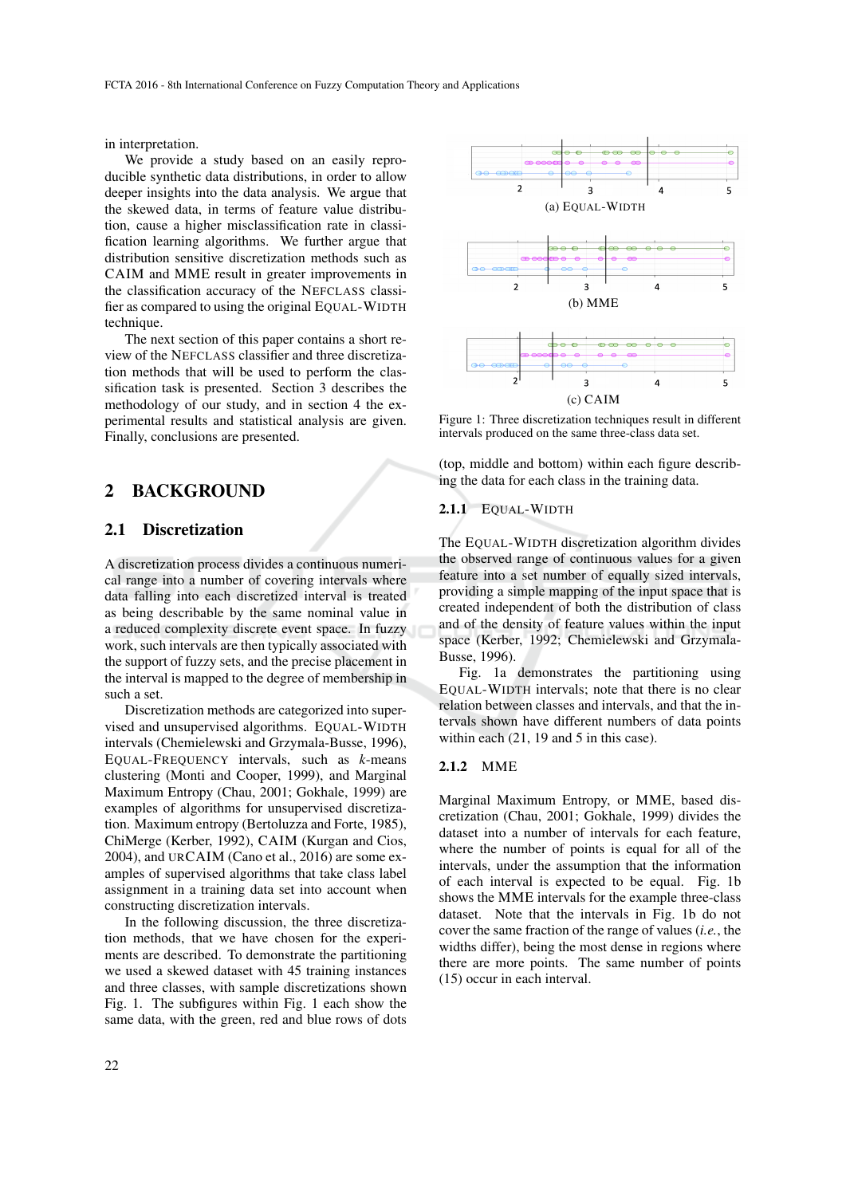in interpretation.

We provide a study based on an easily reproducible synthetic data distributions, in order to allow deeper insights into the data analysis. We argue that the skewed data, in terms of feature value distribution, cause a higher misclassification rate in classification learning algorithms. We further argue that distribution sensitive discretization methods such as CAIM and MME result in greater improvements in the classification accuracy of the NEFCLASS classifier as compared to using the original EQUAL-WIDTH technique.

The next section of this paper contains a short review of the NEFCLASS classifier and three discretization methods that will be used to perform the classification task is presented. Section 3 describes the methodology of our study, and in section 4 the experimental results and statistical analysis are given. Finally, conclusions are presented.

### 2 BACKGROUND

#### 2.1 Discretization

A discretization process divides a continuous numerical range into a number of covering intervals where data falling into each discretized interval is treated as being describable by the same nominal value in a reduced complexity discrete event space. In fuzzy work, such intervals are then typically associated with the support of fuzzy sets, and the precise placement in the interval is mapped to the degree of membership in such a set.

Discretization methods are categorized into supervised and unsupervised algorithms. EQUAL-WIDTH intervals (Chemielewski and Grzymala-Busse, 1996), EQUAL-FREQUENCY intervals, such as *k*-means clustering (Monti and Cooper, 1999), and Marginal Maximum Entropy (Chau, 2001; Gokhale, 1999) are examples of algorithms for unsupervised discretization. Maximum entropy (Bertoluzza and Forte, 1985), ChiMerge (Kerber, 1992), CAIM (Kurgan and Cios, 2004), and URCAIM (Cano et al., 2016) are some examples of supervised algorithms that take class label assignment in a training data set into account when constructing discretization intervals.

In the following discussion, the three discretization methods, that we have chosen for the experiments are described. To demonstrate the partitioning we used a skewed dataset with 45 training instances and three classes, with sample discretizations shown Fig. 1. The subfigures within Fig. 1 each show the same data, with the green, red and blue rows of dots



Figure 1: Three discretization techniques result in different intervals produced on the same three-class data set.

(top, middle and bottom) within each figure describing the data for each class in the training data.

#### 2.1.1 EQUAL-WIDTH

The EQUAL-WIDTH discretization algorithm divides the observed range of continuous values for a given feature into a set number of equally sized intervals, providing a simple mapping of the input space that is created independent of both the distribution of class and of the density of feature values within the input space (Kerber, 1992; Chemielewski and Grzymala-Busse, 1996).

Fig. 1a demonstrates the partitioning using EQUAL-WIDTH intervals; note that there is no clear relation between classes and intervals, and that the intervals shown have different numbers of data points within each (21, 19 and 5 in this case).

#### 2.1.2 MME

Marginal Maximum Entropy, or MME, based discretization (Chau, 2001; Gokhale, 1999) divides the dataset into a number of intervals for each feature, where the number of points is equal for all of the intervals, under the assumption that the information of each interval is expected to be equal. Fig. 1b shows the MME intervals for the example three-class dataset. Note that the intervals in Fig. 1b do not cover the same fraction of the range of values (*i.e.*, the widths differ), being the most dense in regions where there are more points. The same number of points (15) occur in each interval.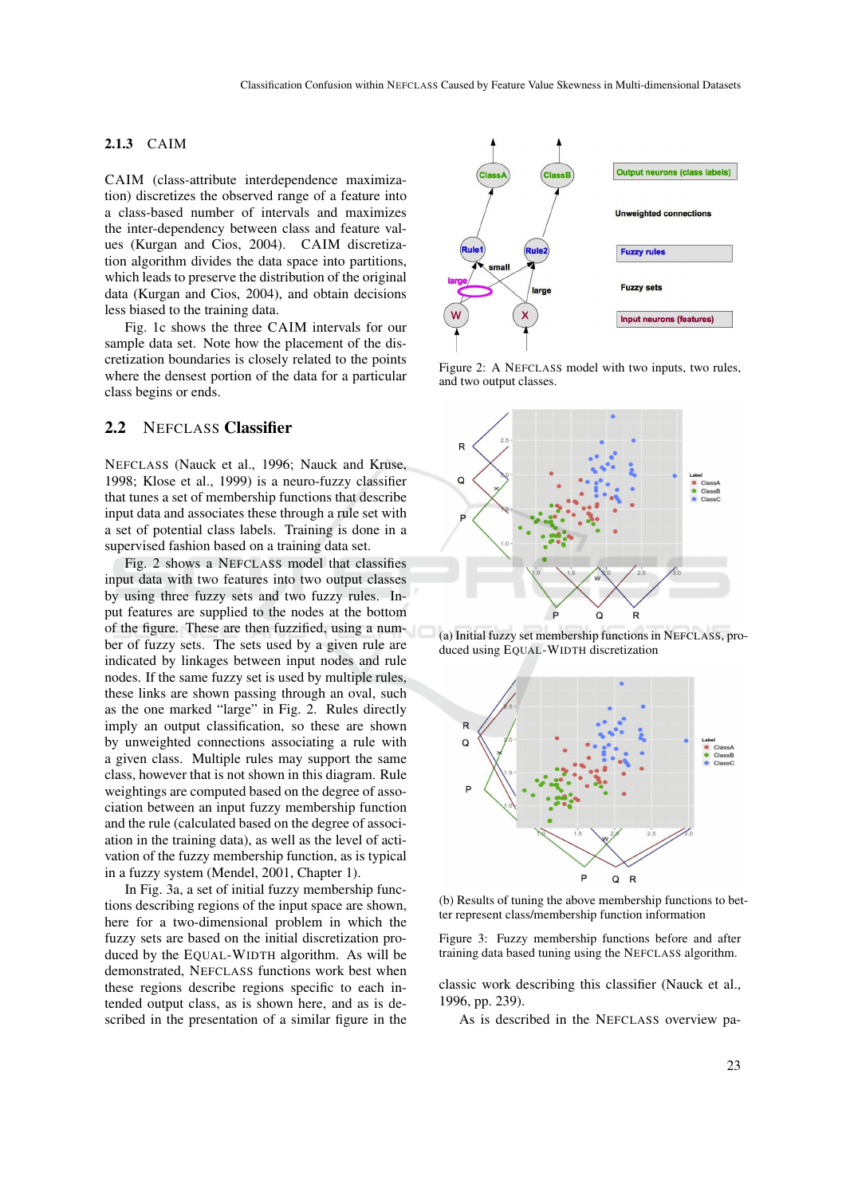#### 2.1.3 CAIM

CAIM (class-attribute interdependence maximization) discretizes the observed range of a feature into a class-based number of intervals and maximizes the inter-dependency between class and feature values (Kurgan and Cios, 2004). CAIM discretization algorithm divides the data space into partitions, which leads to preserve the distribution of the original data (Kurgan and Cios, 2004), and obtain decisions less biased to the training data.

Fig. 1c shows the three CAIM intervals for our sample data set. Note how the placement of the discretization boundaries is closely related to the points where the densest portion of the data for a particular class begins or ends.

### 2.2 NEFCLASS Classifier

NEFCLASS (Nauck et al., 1996; Nauck and Kruse, 1998; Klose et al., 1999) is a neuro-fuzzy classifier that tunes a set of membership functions that describe input data and associates these through a rule set with a set of potential class labels. Training is done in a supervised fashion based on a training data set.

Fig. 2 shows a NEFCLASS model that classifies input data with two features into two output classes by using three fuzzy sets and two fuzzy rules. Input features are supplied to the nodes at the bottom of the figure. These are then fuzzified, using a number of fuzzy sets. The sets used by a given rule are indicated by linkages between input nodes and rule nodes. If the same fuzzy set is used by multiple rules, these links are shown passing through an oval, such as the one marked "large" in Fig. 2. Rules directly imply an output classification, so these are shown by unweighted connections associating a rule with a given class. Multiple rules may support the same class, however that is not shown in this diagram. Rule weightings are computed based on the degree of association between an input fuzzy membership function and the rule (calculated based on the degree of association in the training data), as well as the level of activation of the fuzzy membership function, as is typical in a fuzzy system (Mendel, 2001, Chapter 1).

In Fig. 3a, a set of initial fuzzy membership functions describing regions of the input space are shown, here for a two-dimensional problem in which the fuzzy sets are based on the initial discretization produced by the EQUAL-WIDTH algorithm. As will be demonstrated, NEFCLASS functions work best when these regions describe regions specific to each intended output class, as is shown here, and as is described in the presentation of a similar figure in the



Figure 2: A NEFCLASS model with two inputs, two rules, and two output classes.



(a) Initial fuzzy set membership functions in NEFCLASS, produced using EQUAL-WIDTH discretization



(b) Results of tuning the above membership functions to better represent class/membership function information

Figure 3: Fuzzy membership functions before and after training data based tuning using the NEFCLASS algorithm.

classic work describing this classifier (Nauck et al., 1996, pp. 239).

As is described in the NEFCLASS overview pa-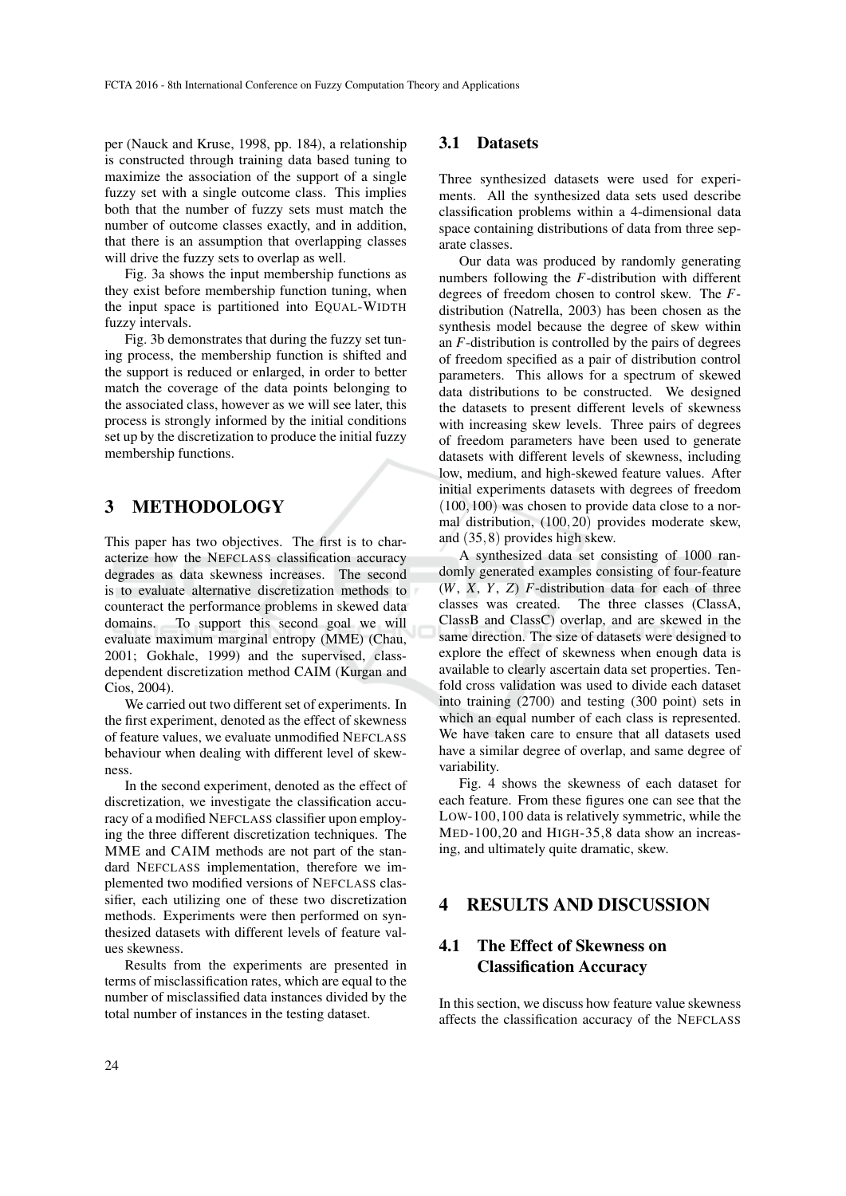per (Nauck and Kruse, 1998, pp. 184), a relationship is constructed through training data based tuning to maximize the association of the support of a single fuzzy set with a single outcome class. This implies both that the number of fuzzy sets must match the number of outcome classes exactly, and in addition, that there is an assumption that overlapping classes will drive the fuzzy sets to overlap as well.

Fig. 3a shows the input membership functions as they exist before membership function tuning, when the input space is partitioned into EQUAL-WIDTH fuzzy intervals.

Fig. 3b demonstrates that during the fuzzy set tuning process, the membership function is shifted and the support is reduced or enlarged, in order to better match the coverage of the data points belonging to the associated class, however as we will see later, this process is strongly informed by the initial conditions set up by the discretization to produce the initial fuzzy membership functions.

## 3 METHODOLOGY

This paper has two objectives. The first is to characterize how the NEFCLASS classification accuracy degrades as data skewness increases. The second is to evaluate alternative discretization methods to counteract the performance problems in skewed data domains. To support this second goal we will evaluate maximum marginal entropy (MME) (Chau, 2001; Gokhale, 1999) and the supervised, classdependent discretization method CAIM (Kurgan and Cios, 2004).

We carried out two different set of experiments. In the first experiment, denoted as the effect of skewness of feature values, we evaluate unmodified NEFCLASS behaviour when dealing with different level of skewness.

In the second experiment, denoted as the effect of discretization, we investigate the classification accuracy of a modified NEFCLASS classifier upon employing the three different discretization techniques. The MME and CAIM methods are not part of the standard NEFCLASS implementation, therefore we implemented two modified versions of NEFCLASS classifier, each utilizing one of these two discretization methods. Experiments were then performed on synthesized datasets with different levels of feature values skewness.

Results from the experiments are presented in terms of misclassification rates, which are equal to the number of misclassified data instances divided by the total number of instances in the testing dataset.

#### 3.1 Datasets

Three synthesized datasets were used for experiments. All the synthesized data sets used describe classification problems within a 4-dimensional data space containing distributions of data from three separate classes.

Our data was produced by randomly generating numbers following the *F*-distribution with different degrees of freedom chosen to control skew. The *F*distribution (Natrella, 2003) has been chosen as the synthesis model because the degree of skew within an *F*-distribution is controlled by the pairs of degrees of freedom specified as a pair of distribution control parameters. This allows for a spectrum of skewed data distributions to be constructed. We designed the datasets to present different levels of skewness with increasing skew levels. Three pairs of degrees of freedom parameters have been used to generate datasets with different levels of skewness, including low, medium, and high-skewed feature values. After initial experiments datasets with degrees of freedom  $(100,100)$  was chosen to provide data close to a normal distribution, (100,20) provides moderate skew, and (35,8) provides high skew.

A synthesized data set consisting of 1000 randomly generated examples consisting of four-feature (*W*, *X*, *Y*, *Z*) *F*-distribution data for each of three classes was created. The three classes (ClassA, ClassB and ClassC) overlap, and are skewed in the same direction. The size of datasets were designed to explore the effect of skewness when enough data is available to clearly ascertain data set properties. Tenfold cross validation was used to divide each dataset into training (2700) and testing (300 point) sets in which an equal number of each class is represented. We have taken care to ensure that all datasets used have a similar degree of overlap, and same degree of variability.

Fig. 4 shows the skewness of each dataset for each feature. From these figures one can see that the LOW-100,100 data is relatively symmetric, while the MED-100,20 and HIGH-35,8 data show an increasing, and ultimately quite dramatic, skew.

## 4 RESULTS AND DISCUSSION

## 4.1 The Effect of Skewness on Classification Accuracy

In this section, we discuss how feature value skewness affects the classification accuracy of the NEFCLASS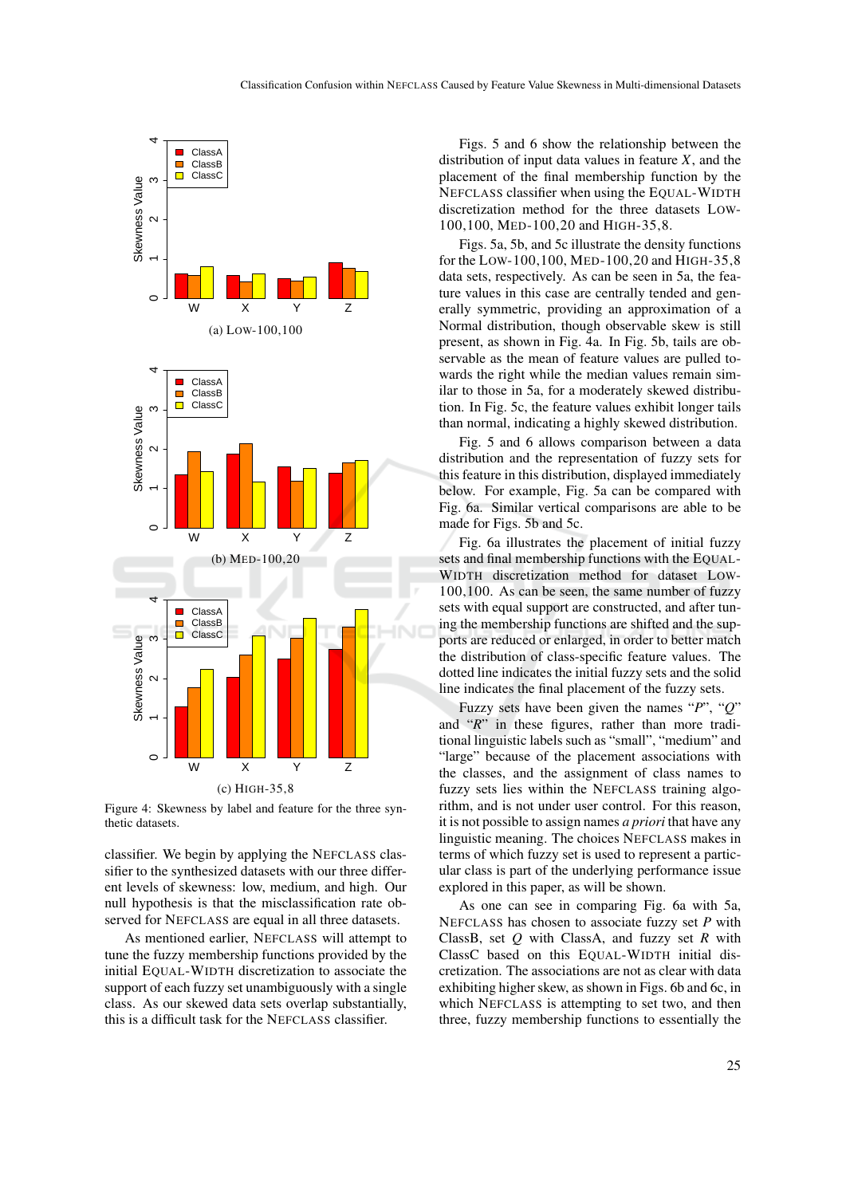

Figure 4: Skewness by label and feature for the three synthetic datasets.

classifier. We begin by applying the NEFCLASS classifier to the synthesized datasets with our three different levels of skewness: low, medium, and high. Our null hypothesis is that the misclassification rate observed for NEFCLASS are equal in all three datasets.

As mentioned earlier, NEFCLASS will attempt to tune the fuzzy membership functions provided by the initial EQUAL-WIDTH discretization to associate the support of each fuzzy set unambiguously with a single class. As our skewed data sets overlap substantially, this is a difficult task for the NEFCLASS classifier.

Figs. 5 and 6 show the relationship between the distribution of input data values in feature *X*, and the placement of the final membership function by the NEFCLASS classifier when using the EQUAL-WIDTH discretization method for the three datasets LOW-100,100, MED-100,20 and HIGH-35,8.

Figs. 5a, 5b, and 5c illustrate the density functions for the LOW-100,100, MED-100,20 and HIGH-35,8 data sets, respectively. As can be seen in 5a, the feature values in this case are centrally tended and generally symmetric, providing an approximation of a Normal distribution, though observable skew is still present, as shown in Fig. 4a. In Fig. 5b, tails are observable as the mean of feature values are pulled towards the right while the median values remain similar to those in 5a, for a moderately skewed distribution. In Fig. 5c, the feature values exhibit longer tails than normal, indicating a highly skewed distribution.

Fig. 5 and 6 allows comparison between a data distribution and the representation of fuzzy sets for this feature in this distribution, displayed immediately below. For example, Fig. 5a can be compared with Fig. 6a. Similar vertical comparisons are able to be made for Figs. 5b and 5c.

Fig. 6a illustrates the placement of initial fuzzy sets and final membership functions with the EQUAL-WIDTH discretization method for dataset LOW-100,100. As can be seen, the same number of fuzzy sets with equal support are constructed, and after tuning the membership functions are shifted and the supports are reduced or enlarged, in order to better match the distribution of class-specific feature values. The dotted line indicates the initial fuzzy sets and the solid line indicates the final placement of the fuzzy sets.

Fuzzy sets have been given the names "*P*", "*Q*" and "*R*" in these figures, rather than more traditional linguistic labels such as "small", "medium" and "large" because of the placement associations with the classes, and the assignment of class names to fuzzy sets lies within the NEFCLASS training algorithm, and is not under user control. For this reason, it is not possible to assign names *a priori* that have any linguistic meaning. The choices NEFCLASS makes in terms of which fuzzy set is used to represent a particular class is part of the underlying performance issue explored in this paper, as will be shown.

As one can see in comparing Fig. 6a with 5a, NEFCLASS has chosen to associate fuzzy set *P* with ClassB, set *Q* with ClassA, and fuzzy set *R* with ClassC based on this EQUAL-WIDTH initial discretization. The associations are not as clear with data exhibiting higher skew, as shown in Figs. 6b and 6c, in which NEFCLASS is attempting to set two, and then three, fuzzy membership functions to essentially the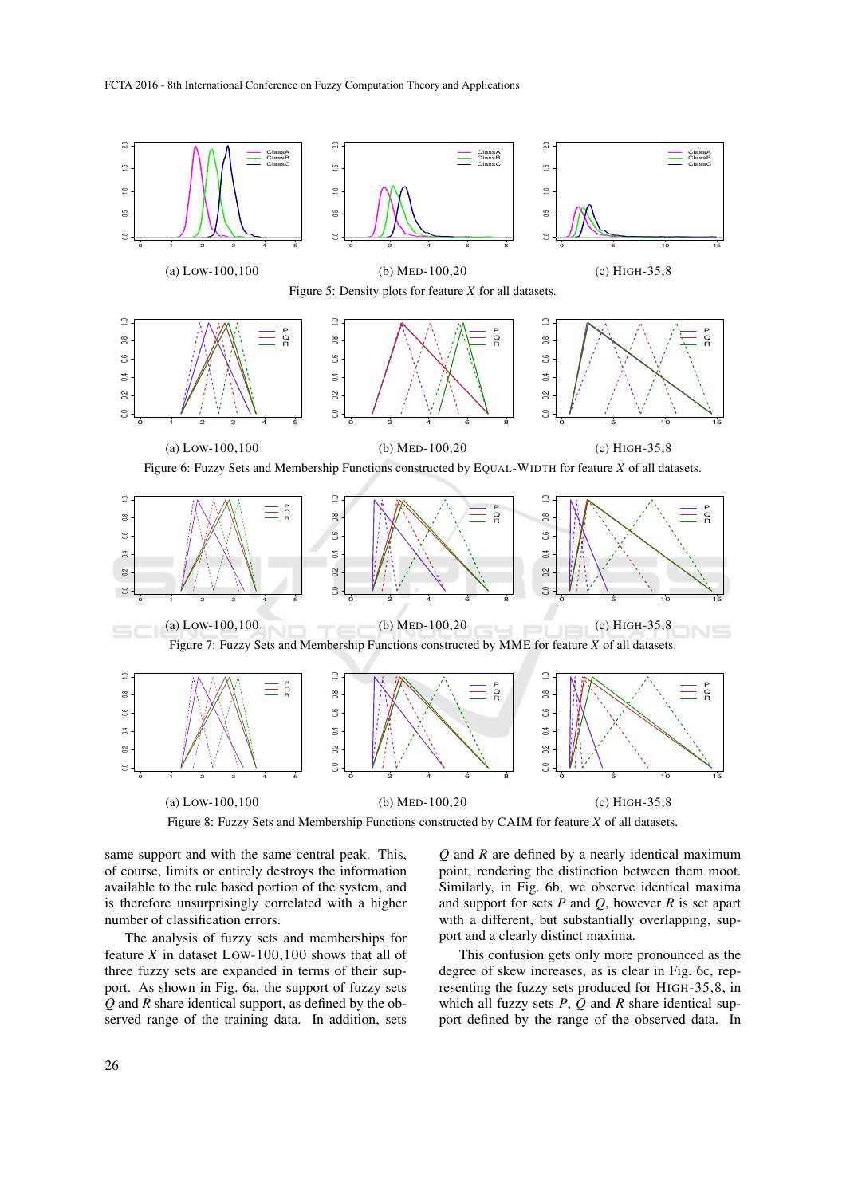

Figure 8: Fuzzy Sets and Membership Functions constructed by CAIM for feature *X* of all datasets.

same support and with the same central peak. This, of course, limits or entirely destroys the information available to the rule based portion of the system, and is therefore unsurprisingly correlated with a higher number of classification errors.

The analysis of fuzzy sets and memberships for feature *X* in dataset LOW-100,100 shows that all of three fuzzy sets are expanded in terms of their support. As shown in Fig. 6a, the support of fuzzy sets *Q* and *R* share identical support, as defined by the observed range of the training data. In addition, sets

*Q* and *R* are defined by a nearly identical maximum point, rendering the distinction between them moot. Similarly, in Fig. 6b, we observe identical maxima and support for sets *P* and *Q*, however *R* is set apart with a different, but substantially overlapping, support and a clearly distinct maxima.

This confusion gets only more pronounced as the degree of skew increases, as is clear in Fig. 6c, representing the fuzzy sets produced for HIGH-35,8, in which all fuzzy sets *P*, *Q* and *R* share identical support defined by the range of the observed data. In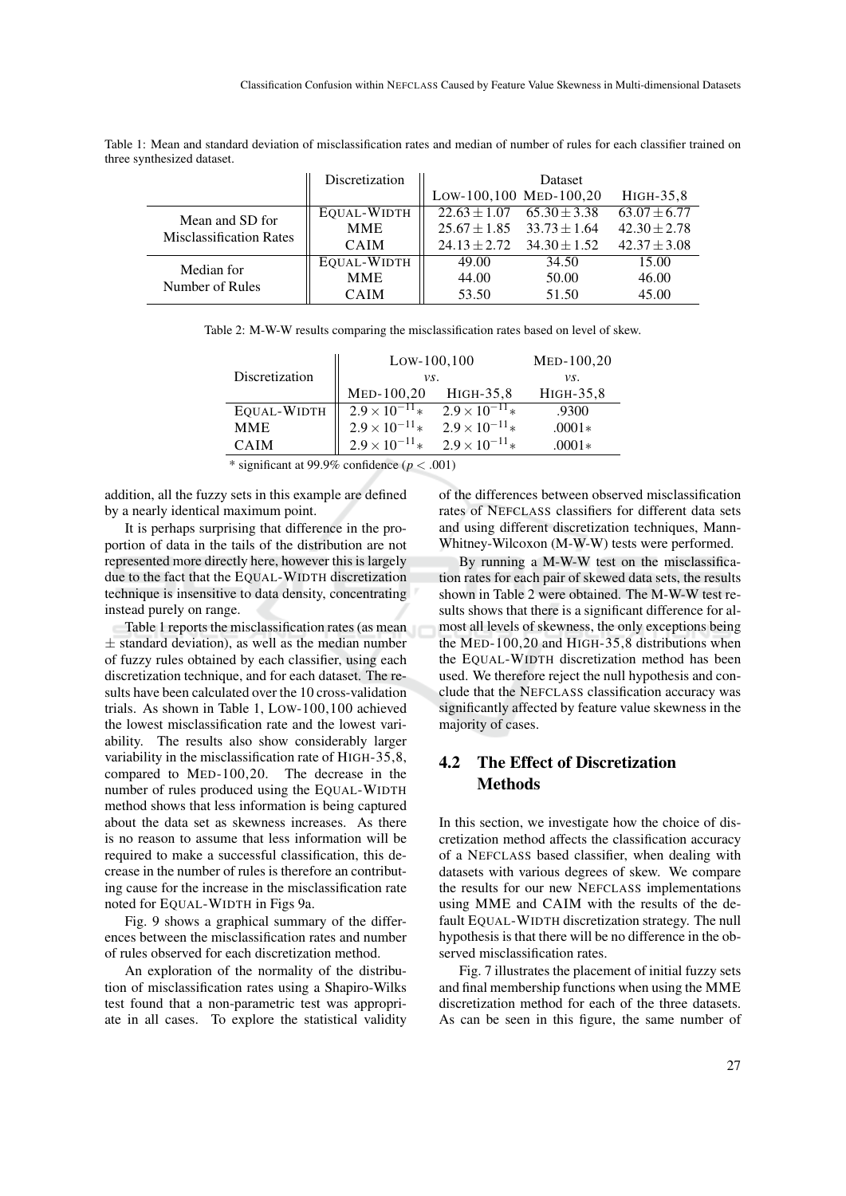| Table 1: Mean and standard deviation of misclassification rates and median of number of rules for each classifier trained on |  |  |  |  |
|------------------------------------------------------------------------------------------------------------------------------|--|--|--|--|
| three synthesized dataset.                                                                                                   |  |  |  |  |

|                                                   | Discretization | Dataset                           |                  |                  |
|---------------------------------------------------|----------------|-----------------------------------|------------------|------------------|
|                                                   |                | Low-100,100 MED-100,20            |                  | HIGH-35,8        |
| Mean and SD for<br><b>Misclassification Rates</b> | EQUAL-WIDTH    | $22.63 \pm 1.07$                  | $65.30 \pm 3.38$ | $63.07 + 6.77$   |
|                                                   | <b>MME</b>     | $25.67 \pm 1.85$ $33.73 \pm 1.64$ |                  | $42.30 \pm 2.78$ |
|                                                   | <b>CAIM</b>    | $24.13 \pm 2.72$                  | $34.30 \pm 1.52$ | $42.37 \pm 3.08$ |
| Median for<br>Number of Rules                     | EQUAL-WIDTH    | 49.00                             | 34.50            | 15.00            |
|                                                   | <b>MME</b>     | 44.00                             | 50.00            | 46.00            |
|                                                   | <b>CAIM</b>    | 53.50                             | 51.50            | 45.00            |

| Table 2: M-W-W results comparing the misclassification rates based on level of skew. |  |  |  |  |  |  |
|--------------------------------------------------------------------------------------|--|--|--|--|--|--|
|--------------------------------------------------------------------------------------|--|--|--|--|--|--|

|                | $Low-100,100$           | $MED-100,20$            |           |  |
|----------------|-------------------------|-------------------------|-----------|--|
| Discretization | vs.                     | vs.                     |           |  |
|                | MED-100,20              | HIGH-35,8               | HIGH-35,8 |  |
| EQUAL-WIDTH    | $2.9 \times 10^{-11} *$ | $2.9 \times 10^{-11}$ * | .9300     |  |
| <b>MME</b>     | $2.9 \times 10^{-11}$ * | $2.9 \times 10^{-11} *$ | $.0001*$  |  |
| <b>CAIM</b>    | $2.9 \times 10^{-11} *$ | $2.9 \times 10^{-11} *$ | $.0001*$  |  |

\* significant at 99.9% confidence ( $p < .001$ )

addition, all the fuzzy sets in this example are defined by a nearly identical maximum point.

It is perhaps surprising that difference in the proportion of data in the tails of the distribution are not represented more directly here, however this is largely due to the fact that the EQUAL-WIDTH discretization technique is insensitive to data density, concentrating instead purely on range.

Table 1 reports the misclassification rates (as mean  $±$  standard deviation), as well as the median number of fuzzy rules obtained by each classifier, using each discretization technique, and for each dataset. The results have been calculated over the 10 cross-validation trials. As shown in Table 1, LOW-100,100 achieved the lowest misclassification rate and the lowest variability. The results also show considerably larger variability in the misclassification rate of HIGH-35,8, compared to MED-100,20. The decrease in the number of rules produced using the EQUAL-WIDTH method shows that less information is being captured about the data set as skewness increases. As there is no reason to assume that less information will be required to make a successful classification, this decrease in the number of rules is therefore an contributing cause for the increase in the misclassification rate noted for EQUAL-WIDTH in Figs 9a.

Fig. 9 shows a graphical summary of the differences between the misclassification rates and number of rules observed for each discretization method.

An exploration of the normality of the distribution of misclassification rates using a Shapiro-Wilks test found that a non-parametric test was appropriate in all cases. To explore the statistical validity

of the differences between observed misclassification rates of NEFCLASS classifiers for different data sets and using different discretization techniques, Mann-Whitney-Wilcoxon (M-W-W) tests were performed.

By running a M-W-W test on the misclassification rates for each pair of skewed data sets, the results shown in Table 2 were obtained. The M-W-W test results shows that there is a significant difference for almost all levels of skewness, the only exceptions being the MED-100,20 and HIGH-35,8 distributions when the EQUAL-WIDTH discretization method has been used. We therefore reject the null hypothesis and conclude that the NEFCLASS classification accuracy was significantly affected by feature value skewness in the majority of cases.

## 4.2 The Effect of Discretization **Methods**

In this section, we investigate how the choice of discretization method affects the classification accuracy of a NEFCLASS based classifier, when dealing with datasets with various degrees of skew. We compare the results for our new NEFCLASS implementations using MME and CAIM with the results of the default EQUAL-WIDTH discretization strategy. The null hypothesis is that there will be no difference in the observed misclassification rates.

Fig. 7 illustrates the placement of initial fuzzy sets and final membership functions when using the MME discretization method for each of the three datasets. As can be seen in this figure, the same number of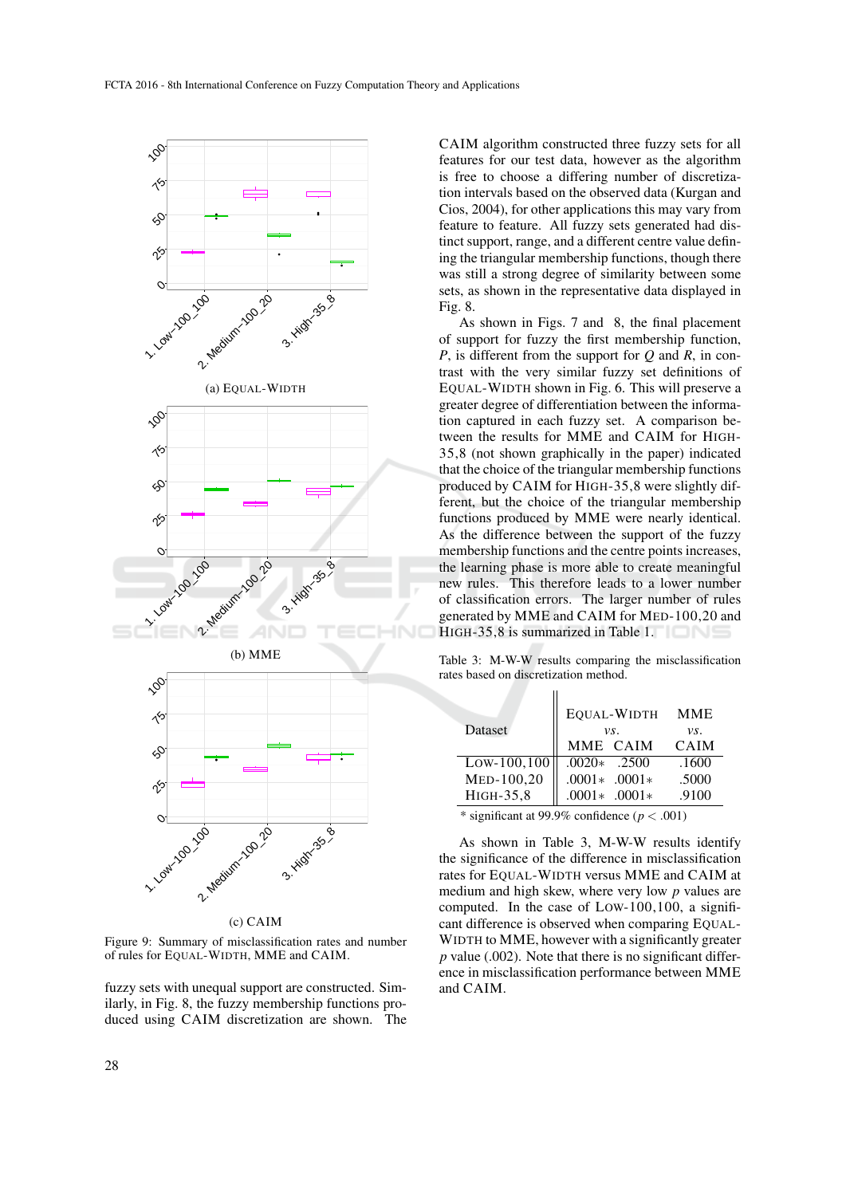

Figure 9: Summary of misclassification rates and number of rules for EQUAL-WIDTH, MME and CAIM.

fuzzy sets with unequal support are constructed. Similarly, in Fig. 8, the fuzzy membership functions produced using CAIM discretization are shown. The

CAIM algorithm constructed three fuzzy sets for all features for our test data, however as the algorithm is free to choose a differing number of discretization intervals based on the observed data (Kurgan and Cios, 2004), for other applications this may vary from feature to feature. All fuzzy sets generated had distinct support, range, and a different centre value defining the triangular membership functions, though there was still a strong degree of similarity between some sets, as shown in the representative data displayed in Fig. 8.

As shown in Figs. 7 and 8, the final placement of support for fuzzy the first membership function, *P*, is different from the support for *Q* and *R*, in contrast with the very similar fuzzy set definitions of EQUAL-WIDTH shown in Fig. 6. This will preserve a greater degree of differentiation between the information captured in each fuzzy set. A comparison between the results for MME and CAIM for HIGH-35,8 (not shown graphically in the paper) indicated that the choice of the triangular membership functions produced by CAIM for HIGH-35,8 were slightly different, but the choice of the triangular membership functions produced by MME were nearly identical. As the difference between the support of the fuzzy membership functions and the centre points increases, the learning phase is more able to create meaningful new rules. This therefore leads to a lower number of classification errors. The larger number of rules generated by MME and CAIM for MED-100,20 and HIGH-35,8 is summarized in Table 1.

Table 3: M-W-W results comparing the misclassification rates based on discretization method.

i i

| Dataset                                                                                                                                                                                                         | vs.              | EQUAL-WIDTH MME<br>vs. |             |  |  |
|-----------------------------------------------------------------------------------------------------------------------------------------------------------------------------------------------------------------|------------------|------------------------|-------------|--|--|
|                                                                                                                                                                                                                 |                  | MME CAIM               | <b>CAIM</b> |  |  |
| $Low-100, 100$                                                                                                                                                                                                  | $.0020*$ .2500   |                        | .1600       |  |  |
| MED-100,20                                                                                                                                                                                                      | $.0001*$ .0001 * |                        | .5000       |  |  |
| HIGH-35,8                                                                                                                                                                                                       | $.0001*$ .0001 * |                        | .9100       |  |  |
| $*$ :: $\mathcal{L}_{\text{out}}$ $\mathcal{L}_{\text{out}}$ $\mathcal{L}_{\text{out}}$ 00.00 $\mathcal{L}_{\text{out}}$ $\mathcal{L}_{\text{out}}$ $\mathcal{L}_{\text{out}}$ $\mathcal{L}_{\text{out}}$ 00.1) |                  |                        |             |  |  |

\* significant at 99.9% confidence ( $p < .001$ )

As shown in Table 3, M-W-W results identify the significance of the difference in misclassification rates for EQUAL-WIDTH versus MME and CAIM at medium and high skew, where very low *p* values are computed. In the case of LOW-100,100, a significant difference is observed when comparing EQUAL-WIDTH to MME, however with a significantly greater *p* value (.002). Note that there is no significant difference in misclassification performance between MME and CAIM.